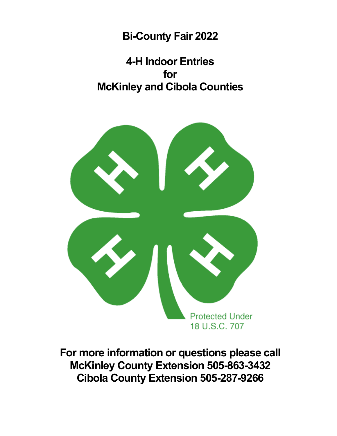**Bi-County Fair 2022**

**4-H Indoor Entries for McKinley and Cibola Counties**



**For more information or questions please call McKinley County Extension 505-863-3432 Cibola County Extension 505-287-9266**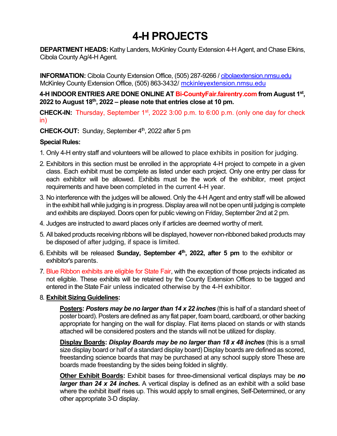# **4-H PROJECTS**

**DEPARTMENT HEADS:** Kathy Landers, McKinley County Extension 4-H Agent, and Chase Elkins, Cibola County Ag/4-H Agent.

**INFORMATION:** Cibola County Extension Office, (505) 287-9266 / cibolaextension.nmsu.edu McKinley County Extension Office, (505) 863-3432/ mckinleyextension.nmsu.edu

**4-H INDOOR ENTRIES ARE DONE ONLINE AT Bi-CountyFair.fairentry.com from August 1st, 2022 to August 18th, 2022 – please note that entries close at 10 pm.**

**CHECK-IN:** Thursday, September 1<sup>st</sup>, 2022 3:00 p.m. to 6:00 p.m. (only one day for check in)

#### **CHECK-OUT:** Sunday, September 4<sup>th</sup>, 2022 after 5 pm

#### **Special Rules:**

- 1. Only 4-H entry staff and volunteers will be allowed to place exhibits in position for judging.
- 2. Exhibitors in this section must be enrolled in the appropriate 4-H project to compete in a given class. Each exhibit must be complete as listed under each project. Only one entry per class for each exhibitor will be allowed. Exhibits must be the work of the exhibitor, meet project requirements and have been completed in the current 4-H year.
- 3. No interference with the judges will be allowed. Only the 4-H Agent and entry staff will be allowed in the exhibit hall while judging is in progress. Display area will not be open until judging is complete and exhibits are displayed. Doors open for public viewing on Friday, September 2nd at 2 pm.
- 4. Judges are instructed to award places only if articles are deemed worthy of merit.
- 5. All baked products receiving ribbons will be displayed, however non-ribboned baked products may be disposed of after judging, if space is limited.
- 6. Exhibits will be released **Sunday, September 4th, 2022, after 5 pm** to the exhibitor or exhibitor's parents.
- 7. Blue Ribbon exhibits are eligible for State Fair, with the exception of those projects indicated as not eligible. These exhibits will be retained by the County Extension Offices to be tagged and entered in the State Fair unless indicated otherwise by the 4-H exhibitor.

### 8. **Exhibit Sizing Guidelines:**

**Posters: Posters may be no larger than 14 x 22 inches** (this is half of a standard sheet of poster board). Posters are defined as any flat paper, foam board, cardboard, or other backing appropriate for hanging on the wall for display. Flat items placed on stands or with stands attached will be considered posters and the stands will not be utilized for display.

**Display Boards:** *Display Boards may be no larger than 18 x 48 inches* (this is a small size display board or half of a standard display board) Display boards are defined as scored, freestanding science boards that may be purchased at any school supply store These are boards made freestanding by the sides being folded in slightly.

**Other Exhibit Boards:** Exhibit bases for three-dimensional vertical displays may be *no larger than 24 x 24 inches.* A vertical display is defined as an exhibit with a solid base where the exhibit itself rises up. This would apply to small engines, Self-Determined, or any other appropriate 3-D display.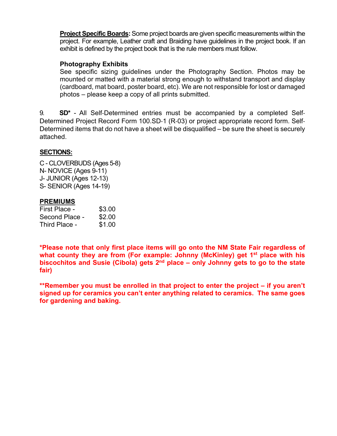**Project Specific Boards:** Some project boards are given specific measurements within the project. For example, Leather craft and Braiding have guidelines in the project book. If an exhibit is defined by the project book that is the rule members must follow.

#### **Photography Exhibits**

See specific sizing guidelines under the Photography Section. Photos may be mounted or matted with a material strong enough to withstand transport and display (cardboard, mat board, poster board, etc). We are not responsible for lost or damaged photos – please keep a copy of all prints submitted.

9. **SD\*** - All Self-Determined entries must be accompanied by a completed Self-Determined Project Record Form 100.SD-1 (R-03) or project appropriate record form. Self-Determined items that do not have a sheet will be disqualified – be sure the sheet is securely attached.

### **SECTIONS:**

C - CLOVERBUDS (Ages 5-8) N- NOVICE (Ages 9-11) J- JUNIOR (Ages 12-13) S- SENIOR (Ages 14-19)

#### **PREMIUMS**

| First Place -  | \$3.00 |
|----------------|--------|
| Second Place - | \$2.00 |
| Third Place -  | \$1.00 |

**\*Please note that only first place items will go onto the NM State Fair regardless of what county they are from (For example: Johnny (McKinley) get 1st place with his biscochitos and Susie (Cibola) gets 2nd place – only Johnny gets to go to the state fair)**

**\*\*Remember you must be enrolled in that project to enter the project – if you aren't signed up for ceramics you can't enter anything related to ceramics. The same goes for gardening and baking.**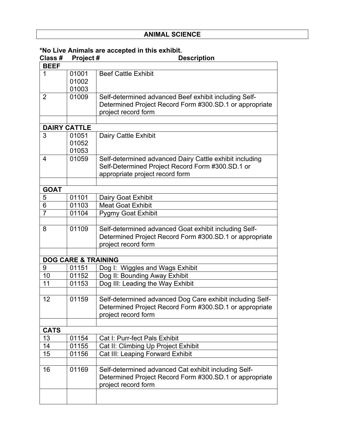### **ANIMAL SCIENCE**

| Class #        | Project#                       | וומוס מוכ מטטטאנטמ ווו נוווס טגווו<br><b>Description</b>                                                                                       |
|----------------|--------------------------------|------------------------------------------------------------------------------------------------------------------------------------------------|
| <b>BEEF</b>    |                                |                                                                                                                                                |
| 1              | 01001<br>01002<br>01003        | <b>Beef Cattle Exhibit</b>                                                                                                                     |
| 2              | 01009                          | Self-determined advanced Beef exhibit including Self-<br>Determined Project Record Form #300.SD.1 or appropriate<br>project record form        |
|                | <b>DAIRY CATTLE</b>            |                                                                                                                                                |
| 3              | 01051                          |                                                                                                                                                |
|                | 01052<br>01053                 | Dairy Cattle Exhibit                                                                                                                           |
| 4              | 01059                          | Self-determined advanced Dairy Cattle exhibit including<br>Self-Determined Project Record Form #300.SD.1 or<br>appropriate project record form |
| <b>GOAT</b>    |                                |                                                                                                                                                |
| 5              | 01101                          | Dairy Goat Exhibit                                                                                                                             |
| 6              | 01103                          | <b>Meat Goat Exhibit</b>                                                                                                                       |
| $\overline{7}$ | 01104                          | <b>Pygmy Goat Exhibit</b>                                                                                                                      |
|                |                                |                                                                                                                                                |
| 8              | 01109                          | Self-determined advanced Goat exhibit including Self-<br>Determined Project Record Form #300.SD.1 or appropriate<br>project record form        |
|                |                                |                                                                                                                                                |
|                | <b>DOG CARE &amp; TRAINING</b> |                                                                                                                                                |
| 9              | 01151                          | Dog I: Wiggles and Wags Exhibit                                                                                                                |
| 10             | 01152                          | Dog II: Bounding Away Exhibit                                                                                                                  |
| 11             | 01153                          | Dog III: Leading the Way Exhibit                                                                                                               |
| 12             | 01159                          | Self-determined advanced Dog Care exhibit including Self-<br>Determined Project Record Form #300.SD.1 or appropriate<br>project record form    |
| <b>CATS</b>    |                                |                                                                                                                                                |
| 13             | 01154                          | Cat I: Purr-fect Pals Exhibit                                                                                                                  |
| 14             | 01155                          | Cat II: Climbing Up Project Exhibit                                                                                                            |
| 15             | 01156                          | Cat III: Leaping Forward Exhibit                                                                                                               |
|                |                                |                                                                                                                                                |
| 16             | 01169                          | Self-determined advanced Cat exhibit including Self-<br>Determined Project Record Form #300.SD.1 or appropriate<br>project record form         |
|                |                                |                                                                                                                                                |

### **\*No Live Animals are accepted in this exhibit.**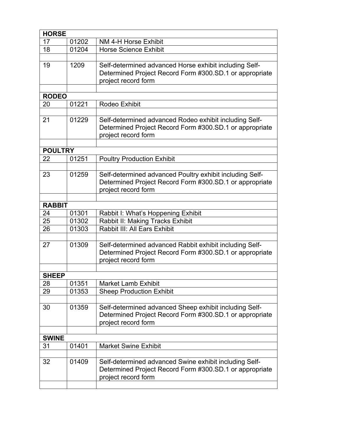| <b>HORSE</b>   |       |                                                                                                                                           |
|----------------|-------|-------------------------------------------------------------------------------------------------------------------------------------------|
| 17             | 01202 | NM 4-H Horse Exhibit                                                                                                                      |
| 18             | 01204 | <b>Horse Science Exhibit</b>                                                                                                              |
|                |       |                                                                                                                                           |
| 19             | 1209  | Self-determined advanced Horse exhibit including Self-<br>Determined Project Record Form #300.SD.1 or appropriate<br>project record form  |
|                |       |                                                                                                                                           |
| <b>RODEO</b>   |       |                                                                                                                                           |
| 20             | 01221 | Rodeo Exhibit                                                                                                                             |
| 21             | 01229 | Self-determined advanced Rodeo exhibit including Self-<br>Determined Project Record Form #300.SD.1 or appropriate<br>project record form  |
|                |       |                                                                                                                                           |
| <b>POULTRY</b> |       |                                                                                                                                           |
| 22             | 01251 | <b>Poultry Production Exhibit</b>                                                                                                         |
| 23             | 01259 | Self-determined advanced Poultry exhibit including Self-                                                                                  |
|                |       | Determined Project Record Form #300.SD.1 or appropriate<br>project record form                                                            |
|                |       |                                                                                                                                           |
| <b>RABBIT</b>  |       |                                                                                                                                           |
| 24             | 01301 | Rabbit I: What's Hoppening Exhibit                                                                                                        |
| 25             | 01302 | Rabbit II: Making Tracks Exhibit                                                                                                          |
| 26             | 01303 | Rabbit III: All Ears Exhibit                                                                                                              |
| 27             | 01309 | Self-determined advanced Rabbit exhibit including Self-<br>Determined Project Record Form #300.SD.1 or appropriate<br>project record form |
|                |       |                                                                                                                                           |
| <b>SHEEP</b>   |       |                                                                                                                                           |
| 28             | 01351 | <b>Market Lamb Exhibit</b>                                                                                                                |
| 29             | 01353 | <b>Sheep Production Exhibit</b>                                                                                                           |
|                |       |                                                                                                                                           |
| 30             | 01359 | Self-determined advanced Sheep exhibit including Self-<br>Determined Project Record Form #300.SD.1 or appropriate<br>project record form  |
|                |       |                                                                                                                                           |
| <b>SWINE</b>   |       |                                                                                                                                           |
| 31             | 01401 | <b>Market Swine Exhibit</b>                                                                                                               |
|                |       |                                                                                                                                           |
| 32             | 01409 | Self-determined advanced Swine exhibit including Self-<br>Determined Project Record Form #300.SD.1 or appropriate<br>project record form  |
|                |       |                                                                                                                                           |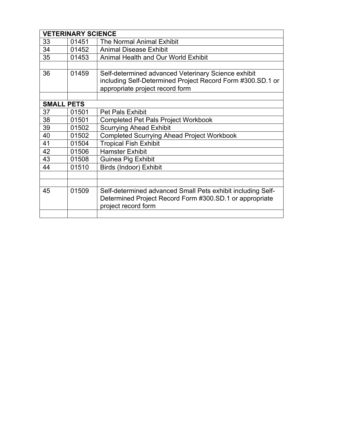|                   | <b>VETERINARY SCIENCE</b> |                                                                                               |
|-------------------|---------------------------|-----------------------------------------------------------------------------------------------|
| 33                | 01451                     | The Normal Animal Exhibit                                                                     |
| 34                | 01452                     | <b>Animal Disease Exhibit</b>                                                                 |
| 35                | 01453                     | <b>Animal Health and Our World Exhibit</b>                                                    |
|                   |                           |                                                                                               |
| 36                | 01459                     | Self-determined advanced Veterinary Science exhibit                                           |
|                   |                           | including Self-Determined Project Record Form #300.SD.1 or<br>appropriate project record form |
|                   |                           |                                                                                               |
| <b>SMALL PETS</b> |                           |                                                                                               |
| 37                | 01501                     | <b>Pet Pals Exhibit</b>                                                                       |
| 38                | 01501                     | <b>Completed Pet Pals Project Workbook</b>                                                    |
| 39                | 01502                     | <b>Scurrying Ahead Exhibit</b>                                                                |
| 40                | 01502                     | <b>Completed Scurrying Ahead Project Workbook</b>                                             |
| 41                | 01504                     | <b>Tropical Fish Exhibit</b>                                                                  |
| 42                | 01506                     | <b>Hamster Exhibit</b>                                                                        |
| 43                | 01508                     | <b>Guinea Pig Exhibit</b>                                                                     |
| 44                | 01510                     | Birds (Indoor) Exhibit                                                                        |
|                   |                           |                                                                                               |
|                   |                           |                                                                                               |
| 45                | 01509                     | Self-determined advanced Small Pets exhibit including Self-                                   |
|                   |                           | Determined Project Record Form #300.SD.1 or appropriate<br>project record form                |
|                   |                           |                                                                                               |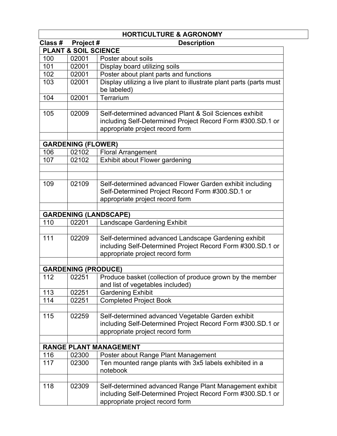|         |                                 | <b>HORTICULTURE &amp; AGRONOMY</b>                                                                                                                       |
|---------|---------------------------------|----------------------------------------------------------------------------------------------------------------------------------------------------------|
| Class # | Project#                        | <b>Description</b>                                                                                                                                       |
|         | <b>PLANT &amp; SOIL SCIENCE</b> |                                                                                                                                                          |
| 100     | 02001                           | Poster about soils                                                                                                                                       |
| 101     | 02001                           | Display board utilizing soils                                                                                                                            |
| 102     | 02001                           | Poster about plant parts and functions                                                                                                                   |
| 103     | 02001                           | Display utilizing a live plant to illustrate plant parts (parts must<br>be labeled)                                                                      |
| 104     | 02001                           | Terrarium                                                                                                                                                |
| 105     | 02009                           | Self-determined advanced Plant & Soil Sciences exhibit<br>including Self-Determined Project Record Form #300.SD.1 or<br>appropriate project record form  |
|         | <b>GARDENING (FLOWER)</b>       |                                                                                                                                                          |
| 106     | 02102                           | <b>Floral Arrangement</b>                                                                                                                                |
| 107     | 02102                           | Exhibit about Flower gardening                                                                                                                           |
|         |                                 |                                                                                                                                                          |
| 109     | 02109                           | Self-determined advanced Flower Garden exhibit including<br>Self-Determined Project Record Form #300.SD.1 or<br>appropriate project record form          |
|         |                                 | <b>GARDENING (LANDSCAPE)</b>                                                                                                                             |
| 110     | 02201                           | Landscape Gardening Exhibit                                                                                                                              |
|         |                                 |                                                                                                                                                          |
| 111     | 02209                           | Self-determined advanced Landscape Gardening exhibit<br>including Self-Determined Project Record Form #300.SD.1 or<br>appropriate project record form    |
|         | <b>GARDENING (PRODUCE)</b>      |                                                                                                                                                          |
| 112     | 02251                           | Produce basket (collection of produce grown by the member                                                                                                |
|         |                                 | and list of vegetables included)                                                                                                                         |
| 113     | 02251                           | <b>Gardening Exhibit</b>                                                                                                                                 |
| 114     | 02251                           | <b>Completed Project Book</b>                                                                                                                            |
| 115     | 02259                           | Self-determined advanced Vegetable Garden exhibit<br>including Self-Determined Project Record Form #300.SD.1 or<br>appropriate project record form       |
|         |                                 |                                                                                                                                                          |
|         |                                 | <b>RANGE PLANT MANAGEMENT</b>                                                                                                                            |
| 116     | 02300                           | Poster about Range Plant Management                                                                                                                      |
| 117     | 02300                           | Ten mounted range plants with 3x5 labels exhibited in a<br>notebook                                                                                      |
| 118     | 02309                           | Self-determined advanced Range Plant Management exhibit<br>including Self-Determined Project Record Form #300.SD.1 or<br>appropriate project record form |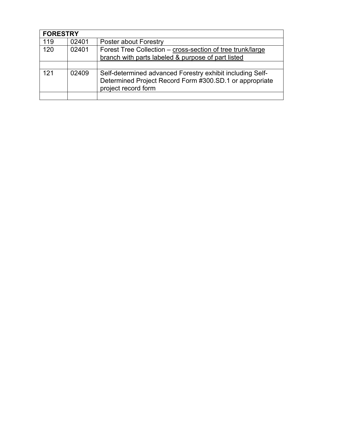|     | <b>FORESTRY</b> |                                                                                                                                             |  |
|-----|-----------------|---------------------------------------------------------------------------------------------------------------------------------------------|--|
| 119 | 02401           | Poster about Forestry                                                                                                                       |  |
| 120 | 02401           | Forest Tree Collection - cross-section of tree trunk/large                                                                                  |  |
|     |                 | branch with parts labeled & purpose of part listed                                                                                          |  |
|     |                 |                                                                                                                                             |  |
| 121 | 02409           | Self-determined advanced Forestry exhibit including Self-<br>Determined Project Record Form #300.SD.1 or appropriate<br>project record form |  |
|     |                 |                                                                                                                                             |  |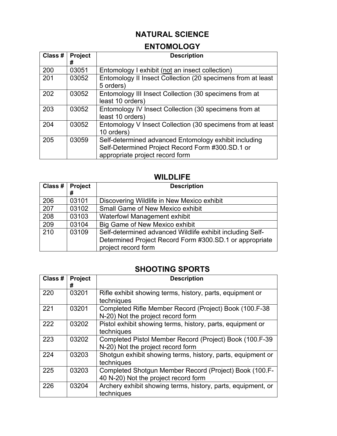# **NATURAL SCIENCE**

# **ENTOMOLOGY**

| Class # | <b>Project</b> | <b>Description</b>                                                                                                                           |
|---------|----------------|----------------------------------------------------------------------------------------------------------------------------------------------|
|         | #              |                                                                                                                                              |
| 200     | 03051          | Entomology I exhibit (not an insect collection)                                                                                              |
| 201     | 03052          | Entomology II Insect Collection (20 specimens from at least<br>5 orders)                                                                     |
| 202     | 03052          | Entomology III Insect Collection (30 specimens from at<br>least 10 orders)                                                                   |
| 203     | 03052          | Entomology IV Insect Collection (30 specimens from at<br>least 10 orders)                                                                    |
| 204     | 03052          | Entomology V Insect Collection (30 specimens from at least<br>10 orders)                                                                     |
| 205     | 03059          | Self-determined advanced Entomology exhibit including<br>Self-Determined Project Record Form #300.SD.1 or<br>appropriate project record form |

### **WILDLIFE**

| Class #   Project | #     | <b>Description</b>                                                                                                                          |
|-------------------|-------|---------------------------------------------------------------------------------------------------------------------------------------------|
| 206               | 03101 | Discovering Wildlife in New Mexico exhibit                                                                                                  |
| 207               | 03102 | Small Game of New Mexico exhibit                                                                                                            |
| 208               | 03103 | <b>Waterfowl Management exhibit</b>                                                                                                         |
| 209               | 03104 | <b>Big Game of New Mexico exhibit</b>                                                                                                       |
| 210               | 03109 | Self-determined advanced Wildlife exhibit including Self-<br>Determined Project Record Form #300.SD.1 or appropriate<br>project record form |

### **SHOOTING SPORTS**

| Class # | Project<br># | <b>Description</b>                                                                             |
|---------|--------------|------------------------------------------------------------------------------------------------|
| 220     | 03201        | Rifle exhibit showing terms, history, parts, equipment or<br>techniques                        |
| 221     | 03201        | Completed Rifle Member Record (Project) Book (100.F-38<br>N-20) Not the project record form    |
| 222     | 03202        | Pistol exhibit showing terms, history, parts, equipment or<br>techniques                       |
| 223     | 03202        | Completed Pistol Member Record (Project) Book (100.F-39<br>N-20) Not the project record form   |
| 224     | 03203        | Shotqun exhibit showing terms, history, parts, equipment or<br>techniques                      |
| 225     | 03203        | Completed Shotgun Member Record (Project) Book (100.F-<br>40 N-20) Not the project record form |
| 226     | 03204        | Archery exhibit showing terms, history, parts, equipment, or<br>techniques                     |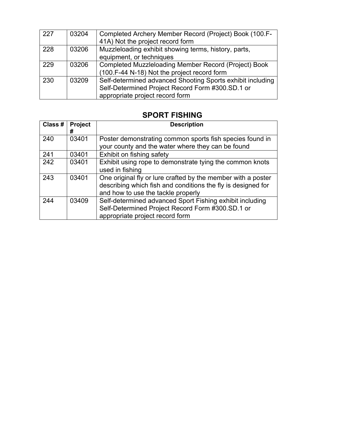| 227 | 03204 | Completed Archery Member Record (Project) Book (100.F-<br>41A) Not the project record form |
|-----|-------|--------------------------------------------------------------------------------------------|
|     |       |                                                                                            |
| 228 | 03206 | Muzzleloading exhibit showing terms, history, parts,                                       |
|     |       | equipment, or techniques                                                                   |
| 229 | 03206 | Completed Muzzleloading Member Record (Project) Book                                       |
|     |       | (100.F-44 N-18) Not the project record form                                                |
| 230 | 03209 | Self-determined advanced Shooting Sports exhibit including                                 |
|     |       | Self-Determined Project Record Form #300.SD.1 or                                           |
|     |       | appropriate project record form                                                            |

# **SPORT FISHING**

| Class # | Project<br># | <b>Description</b>                                                                                                                                                 |
|---------|--------------|--------------------------------------------------------------------------------------------------------------------------------------------------------------------|
| 240     | 03401        | Poster demonstrating common sports fish species found in<br>your county and the water where they can be found                                                      |
| 241     | 03401        | Exhibit on fishing safety                                                                                                                                          |
| 242     | 03401        | Exhibit using rope to demonstrate tying the common knots<br>used in fishing                                                                                        |
| 243     | 03401        | One original fly or lure crafted by the member with a poster<br>describing which fish and conditions the fly is designed for<br>and how to use the tackle properly |
| 244     | 03409        | Self-determined advanced Sport Fishing exhibit including<br>Self-Determined Project Record Form #300.SD.1 or<br>appropriate project record form                    |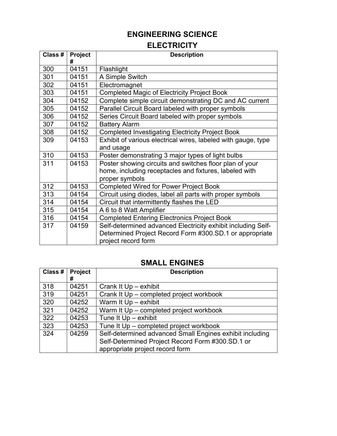# **ENGINEERING SCIENCE**

# **ELECTRICITY**

| Class # | Project<br># | <b>Description</b>                                                                                                                             |
|---------|--------------|------------------------------------------------------------------------------------------------------------------------------------------------|
| 300     | 04151        | Flashlight                                                                                                                                     |
| 301     | 04151        | A Simple Switch                                                                                                                                |
| 302     | 04151        | Electromagnet                                                                                                                                  |
| 303     | 04151        | <b>Completed Magic of Electricity Project Book</b>                                                                                             |
| 304     | 04152        | Complete simple circuit demonstrating DC and AC current                                                                                        |
| 305     | 04152        | Parallel Circuit Board labeled with proper symbols                                                                                             |
| 306     | 04152        | Series Circuit Board labeled with proper symbols                                                                                               |
| 307     | 04152        | <b>Battery Alarm</b>                                                                                                                           |
| 308     | 04152        | <b>Completed Investigating Electricity Project Book</b>                                                                                        |
| 309     | 04153        | Exhibit of various electrical wires, labeled with gauge, type<br>and usage                                                                     |
| 310     | 04153        | Poster demonstrating 3 major types of light bulbs                                                                                              |
| 311     | 04153        | Poster showing circuits and switches floor plan of your<br>home, including receptacles and fixtures, labeled with<br>proper symbols            |
| 312     | 04153        | <b>Completed Wired for Power Project Book</b>                                                                                                  |
| 313     | 04154        | Circuit using diodes, label all parts with proper symbols                                                                                      |
| 314     | 04154        | Circuit that intermittently flashes the LED                                                                                                    |
| 315     | 04154        | A 6 to 8 Watt Amplifier                                                                                                                        |
| 316     | 04154        | <b>Completed Entering Electronics Project Book</b>                                                                                             |
| 317     | 04159        | Self-determined advanced Electricity exhibit including Self-<br>Determined Project Record Form #300.SD.1 or appropriate<br>project record form |

## **SMALL ENGINES**

| Class # | <b>Project</b><br># | <b>Description</b>                                       |
|---------|---------------------|----------------------------------------------------------|
| 318     | 04251               | Crank It Up - exhibit                                    |
| 319     | 04251               | Crank It Up - completed project workbook                 |
| 320     | 04252               | Warm It Up - exhibit                                     |
| 321     | 04252               | Warm It Up - completed project workbook                  |
| 322     | 04253               | Tune It Up - exhibit                                     |
| 323     | 04253               | Tune It Up – completed project workbook                  |
| 324     | 04259               | Self-determined advanced Small Engines exhibit including |
|         |                     | Self-Determined Project Record Form #300.SD.1 or         |
|         |                     | appropriate project record form                          |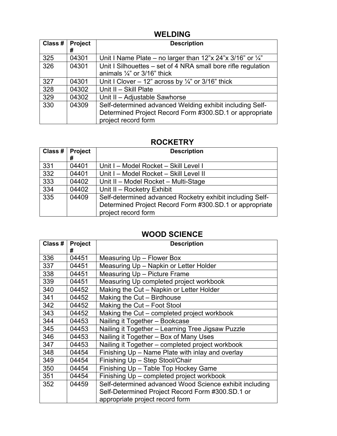### **WELDING**

| Class # | <b>Project</b><br># | <b>Description</b>                                                                                                                         |
|---------|---------------------|--------------------------------------------------------------------------------------------------------------------------------------------|
| 325     | 04301               | Unit I Name Plate – no larger than 12"x 24"x 3/16" or $\frac{1}{4}$ "                                                                      |
| 326     | 04301               | Unit I Silhouettes – set of 4 NRA small bore rifle regulation<br>animals $\frac{1}{4}$ " or 3/16" thick                                    |
| 327     | 04301               | Unit I Clover – 12" across by $\frac{1}{4}$ " or 3/16" thick                                                                               |
| 328     | 04302               | Unit II - Skill Plate                                                                                                                      |
| 329     | 04302               | Unit II - Adjustable Sawhorse                                                                                                              |
| 330     | 04309               | Self-determined advanced Welding exhibit including Self-<br>Determined Project Record Form #300.SD.1 or appropriate<br>project record form |

# **ROCKETRY**

| Class # | <b>Project</b><br># | <b>Description</b>                                                                                                                          |
|---------|---------------------|---------------------------------------------------------------------------------------------------------------------------------------------|
| 331     | 04401               | Unit I - Model Rocket - Skill Level I                                                                                                       |
| 332     | 04401               | Unit I - Model Rocket - Skill Level II                                                                                                      |
| 333     | 04402               | Unit II - Model Rocket - Multi-Stage                                                                                                        |
| 334     | 04402               | Unit II - Rocketry Exhibit                                                                                                                  |
| 335     | 04409               | Self-determined advanced Rocketry exhibit including Self-<br>Determined Project Record Form #300.SD.1 or appropriate<br>project record form |

# **WOOD SCIENCE**

| Class # | Project | <b>Description</b>                                      |
|---------|---------|---------------------------------------------------------|
|         | #       |                                                         |
| 336     | 04451   | Measuring Up - Flower Box                               |
| 337     | 04451   | Measuring Up - Napkin or Letter Holder                  |
| 338     | 04451   | Measuring Up - Picture Frame                            |
| 339     | 04451   | Measuring Up completed project workbook                 |
| 340     | 04452   | Making the Cut – Napkin or Letter Holder                |
| 341     | 04452   | Making the Cut - Birdhouse                              |
| 342     | 04452   | Making the Cut - Foot Stool                             |
| 343     | 04452   | Making the Cut – completed project workbook             |
| 344     | 04453   | Nailing it Together - Bookcase                          |
| 345     | 04453   | Nailing it Together – Learning Tree Jigsaw Puzzle       |
| 346     | 04453   | Nailing it Together - Box of Many Uses                  |
| 347     | 04453   | Nailing it Together - completed project workbook        |
| 348     | 04454   | Finishing Up - Name Plate with inlay and overlay        |
| 349     | 04454   | Finishing Up - Step Stool/Chair                         |
| 350     | 04454   | Finishing Up - Table Top Hockey Game                    |
| 351     | 04454   | Finishing Up - completed project workbook               |
| 352     | 04459   | Self-determined advanced Wood Science exhibit including |
|         |         | Self-Determined Project Record Form #300.SD.1 or        |
|         |         | appropriate project record form                         |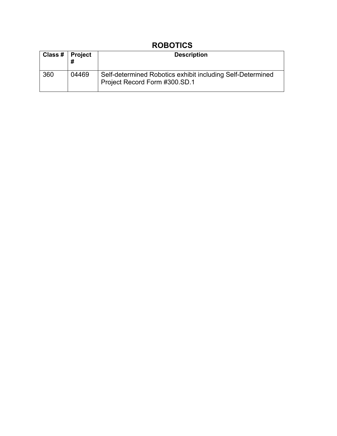# **ROBOTICS**

| Class $#$   Project |       | <b>Description</b>                                                                          |
|---------------------|-------|---------------------------------------------------------------------------------------------|
| 360                 | 04469 | Self-determined Robotics exhibit including Self-Determined<br>Project Record Form #300.SD.1 |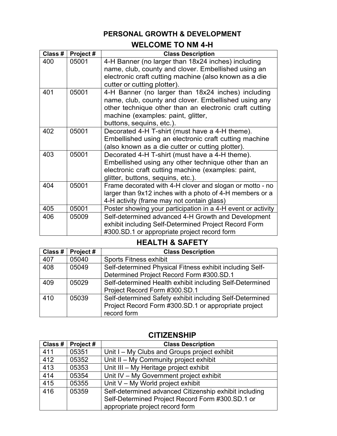## **PERSONAL GROWTH & DEVELOPMENT**

# **WELCOME TO NM 4-H**

| Class # | Project # | <b>Class Description</b>                                                                                                                                                                                                               |
|---------|-----------|----------------------------------------------------------------------------------------------------------------------------------------------------------------------------------------------------------------------------------------|
| 400     | 05001     | 4-H Banner (no larger than 18x24 inches) including<br>name, club, county and clover. Embellished using an<br>electronic craft cutting machine (also known as a die<br>cutter or cutting plotter).                                      |
| 401     | 05001     | 4-H Banner (no larger than 18x24 inches) including<br>name, club, county and clover. Embellished using any<br>other technique other than an electronic craft cutting<br>machine (examples: paint, glitter,<br>buttons, sequins, etc.). |
| 402     | 05001     | Decorated 4-H T-shirt (must have a 4-H theme).<br>Embellished using an electronic craft cutting machine<br>(also known as a die cutter or cutting plotter).                                                                            |
| 403     | 05001     | Decorated 4-H T-shirt (must have a 4-H theme).<br>Embellished using any other technique other than an<br>electronic craft cutting machine (examples: paint,<br>glitter, buttons, sequins, etc.).                                       |
| 404     | 05001     | Frame decorated with 4-H clover and slogan or motto - no<br>larger than 9x12 inches with a photo of 4-H members or a<br>4-H activity (frame may not contain glass)                                                                     |
| 405     | 05001     | Poster showing your participation in a 4-H event or activity                                                                                                                                                                           |
| 406     | 05009     | Self-determined advanced 4-H Growth and Development<br>exhibit including Self-Determined Project Record Form<br>#300.SD.1 or appropriate project record form                                                                           |

## **HEALTH & SAFETY**

| Class # | Project# | <b>Class Description</b>                                 |
|---------|----------|----------------------------------------------------------|
| 407     | 05040    | <b>Sports Fitness exhibit</b>                            |
| 408     | 05049    | Self-determined Physical Fitness exhibit including Self- |
|         |          | Determined Project Record Form #300.SD.1                 |
| 409     | 05029    | Self-determined Health exhibit including Self-Determined |
|         |          | Project Record Form #300.SD.1                            |
| 410     | 05039    | Self-determined Safety exhibit including Self-Determined |
|         |          | Project Record Form #300.SD.1 or appropriate project     |
|         |          | record form                                              |

| Class # | Project# | <b>Class Description</b>                               |
|---------|----------|--------------------------------------------------------|
| 411     | 05351    | Unit I – My Clubs and Groups project exhibit           |
| 412     | 05352    | Unit II - My Community project exhibit                 |
| 413     | 05353    | Unit III - My Heritage project exhibit                 |
| 414     | 05354    | Unit IV - My Government project exhibit                |
| 415     | 05355    | Unit V - My World project exhibit                      |
| 416     | 05359    | Self-determined advanced Citizenship exhibit including |
|         |          | Self-Determined Project Record Form #300.SD.1 or       |
|         |          | appropriate project record form                        |

# **CITIZENSHIP**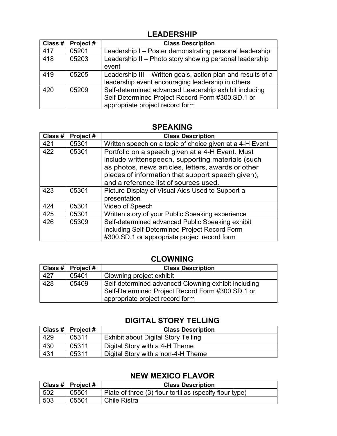### **LEADERSHIP**

| Class # | Project# | <b>Class Description</b>                                                                                                                     |
|---------|----------|----------------------------------------------------------------------------------------------------------------------------------------------|
| 417     | 05201    | Leadership I - Poster demonstrating personal leadership                                                                                      |
| 418     | 05203    | Leadership II - Photo story showing personal leadership<br>event                                                                             |
| 419     | 05205    | Leadership III - Written goals, action plan and results of a<br>leadership event encouraging leadership in others                            |
| 420     | 05209    | Self-determined advanced Leadership exhibit including<br>Self-Determined Project Record Form #300.SD.1 or<br>appropriate project record form |

### **SPEAKING**

| Class # | Project# | <b>Class Description</b>                                                                                                                                                                                                                                  |
|---------|----------|-----------------------------------------------------------------------------------------------------------------------------------------------------------------------------------------------------------------------------------------------------------|
| 421     | 05301    | Written speech on a topic of choice given at a 4-H Event                                                                                                                                                                                                  |
| 422     | 05301    | Portfolio on a speech given at a 4-H Event. Must<br>include writtenspeech, supporting materials (such<br>as photos, news articles, letters, awards or other<br>pieces of information that support speech given),<br>and a reference list of sources used. |
| 423     | 05301    | Picture Display of Visual Aids Used to Support a<br>presentation                                                                                                                                                                                          |
| 424     | 05301    | Video of Speech                                                                                                                                                                                                                                           |
| 425     | 05301    | Written story of your Public Speaking experience                                                                                                                                                                                                          |
| 426     | 05309    | Self-determined advanced Public Speaking exhibit<br>including Self-Determined Project Record Form<br>#300.SD.1 or appropriate project record form                                                                                                         |

### **CLOWNING**

|     | Class #   Project # | <b>Class Description</b>                                                                                                                   |
|-----|---------------------|--------------------------------------------------------------------------------------------------------------------------------------------|
| 427 | 05401               | Clowning project exhibit                                                                                                                   |
| 428 | 05409               | Self-determined advanced Clowning exhibit including<br>Self-Determined Project Record Form #300.SD.1 or<br>appropriate project record form |

# **DIGITAL STORY TELLING**

|     | Class #   Project # | <b>Class Description</b>                   |
|-----|---------------------|--------------------------------------------|
| 429 | 05311               | <b>Exhibit about Digital Story Telling</b> |
| 430 | 05311               | Digital Story with a 4-H Theme             |
| 431 | 05311               | Digital Story with a non-4-H Theme         |

# **NEW MEXICO FLAVOR**

|     | Class #   Project # | <b>Class Description</b>                                |
|-----|---------------------|---------------------------------------------------------|
| 502 | 05501               | Plate of three (3) flour tortillas (specify flour type) |
| 503 | 05501               | Chile Ristra                                            |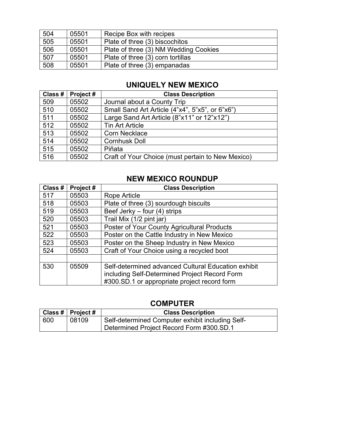| 504 | 05501 | Recipe Box with recipes               |
|-----|-------|---------------------------------------|
| 505 | 05501 | Plate of three (3) biscochitos        |
| 506 | 05501 | Plate of three (3) NM Wedding Cookies |
| 507 | 05501 | Plate of three (3) corn tortillas     |
| 508 | 05501 | Plate of three (3) empanadas          |

# **UNIQUELY NEW MEXICO**

| Class # | Project# | <b>Class Description</b>                          |
|---------|----------|---------------------------------------------------|
| 509     | 05502    | Journal about a County Trip                       |
| 510     | 05502    | Small Sand Art Article (4"x4", 5"x5", or 6"x6")   |
| 511     | 05502    | Large Sand Art Article (8"x11" or 12"x12")        |
| 512     | 05502    | <b>Tin Art Article</b>                            |
| 513     | 05502    | <b>Corn Necklace</b>                              |
| 514     | 05502    | <b>Cornhusk Doll</b>                              |
| 515     | 05502    | Piñata                                            |
| 516     | 05502    | Craft of Your Choice (must pertain to New Mexico) |

### **NEW MEXICO ROUNDUP**

| Class # | Project# | <b>Class Description</b>                            |
|---------|----------|-----------------------------------------------------|
| 517     | 05503    | Rope Article                                        |
| 518     | 05503    | Plate of three (3) sourdough biscuits               |
| 519     | 05503    | Beef Jerky - four (4) strips                        |
| 520     | 05503    | Trail Mix (1/2 pint jar)                            |
| 521     | 05503    | Poster of Your County Agricultural Products         |
| 522     | 05503    | Poster on the Cattle Industry in New Mexico         |
| 523     | 05503    | Poster on the Sheep Industry in New Mexico          |
| 524     | 05503    | Craft of Your Choice using a recycled boot          |
|         |          |                                                     |
| 530     | 05509    | Self-determined advanced Cultural Education exhibit |
|         |          | including Self-Determined Project Record Form       |
|         |          | #300.SD.1 or appropriate project record form        |

### **COMPUTER**

|     | Class #   Project # | <b>Class Description</b>                         |
|-----|---------------------|--------------------------------------------------|
| 600 | 08109               | Self-determined Computer exhibit including Self- |
|     |                     | Determined Project Record Form #300.SD.1         |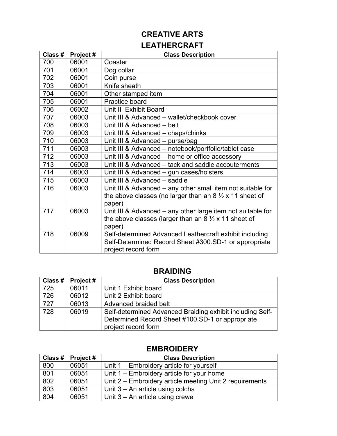# **CREATIVE ARTS**

# **LEATHERCRAFT**

| Class # | Project# | <b>Class Description</b>                                               |
|---------|----------|------------------------------------------------------------------------|
| 700     | 06001    | Coaster                                                                |
| 701     | 06001    | Dog collar                                                             |
| 702     | 06001    | Coin purse                                                             |
| 703     | 06001    | Knife sheath                                                           |
| 704     | 06001    | Other stamped item                                                     |
| 705     | 06001    | Practice board                                                         |
| 706     | 06002    | Unit II Exhibit Board                                                  |
| 707     | 06003    | Unit III & Advanced - wallet/checkbook cover                           |
| 708     | 06003    | Unit III & Advanced - belt                                             |
| 709     | 06003    | Unit III & Advanced - chaps/chinks                                     |
| 710     | 06003    | Unit III & Advanced - purse/bag                                        |
| 711     | 06003    | Unit III & Advanced - notebook/portfolio/tablet case                   |
| 712     | 06003    | Unit III & Advanced – home or office accessory                         |
| 713     | 06003    | Unit III & Advanced - tack and saddle accouterments                    |
| 714     | 06003    | Unit III & Advanced - gun cases/holsters                               |
| 715     | 06003    | Unit III & Advanced - saddle                                           |
| 716     | 06003    | Unit III & Advanced – any other small item not suitable for            |
|         |          | the above classes (no larger than an $8\frac{1}{2} \times 11$ sheet of |
|         |          | paper)                                                                 |
| 717     | 06003    | Unit III & Advanced - any other large item not suitable for            |
|         |          | the above classes (larger than an $8\frac{1}{2} \times 11$ sheet of    |
|         |          | paper)                                                                 |
| 718     | 06009    | Self-determined Advanced Leathercraft exhibit including                |
|         |          | Self-Determined Record Sheet #300.SD-1 or appropriate                  |
|         |          | project record form                                                    |

### **BRAIDING**

| Class # | $ $ Project # | <b>Class Description</b>                                  |
|---------|---------------|-----------------------------------------------------------|
| 725     | 06011         | Unit 1 Exhibit board                                      |
| 726     | 06012         | Unit 2 Exhibit board                                      |
| 727     | 06013         | Advanced braided belt                                     |
| 728     | 06019         | Self-determined Advanced Braiding exhibit including Self- |
|         |               | Determined Record Sheet #100.SD-1 or appropriate          |
|         |               | project record form                                       |

|     | Class #   Project # | <b>Class Description</b>                                |
|-----|---------------------|---------------------------------------------------------|
| 800 | 06051               | Unit $1 -$ Embroidery article for yourself              |
| 801 | 06051               | Unit $1 -$ Embroidery article for your home             |
| 802 | 06051               | Unit 2 – Embroidery article meeting Unit 2 requirements |
| 803 | 06051               | Unit $3 - An$ article using colcha                      |
| 804 | 06051               | Unit $3 - An$ article using crewel                      |

### **EMBROIDERY**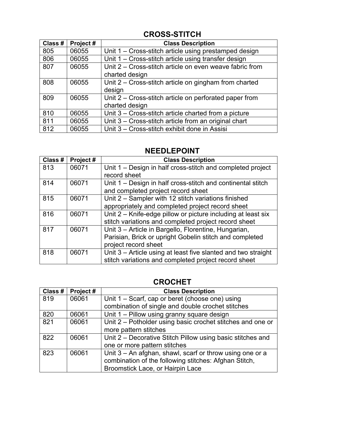# **CROSS-STITCH**

| Class # | Project# | <b>Class Description</b>                                |
|---------|----------|---------------------------------------------------------|
| 805     | 06055    | Unit 1 – Cross-stitch article using prestamped design   |
| 806     | 06055    | Unit 1 – Cross-stitch article using transfer design     |
| 807     | 06055    | Unit 2 – Cross-stitch article on even weave fabric from |
|         |          | charted design                                          |
| 808     | 06055    | Unit 2 – Cross-stitch article on gingham from charted   |
|         |          | design                                                  |
| 809     | 06055    | Unit 2 – Cross-stitch article on perforated paper from  |
|         |          | charted design                                          |
| 810     | 06055    | Unit 3 - Cross-stitch article charted from a picture    |
| 811     | 06055    | Unit 3 – Cross-stitch article from an original chart    |
| 812     | 06055    | Unit 3 - Cross-stitch exhibit done in Assisi            |

### **NEEDLEPOINT**

| Class # | Project# | <b>Class Description</b>                                      |
|---------|----------|---------------------------------------------------------------|
| 813     | 06071    | Unit 1 – Design in half cross-stitch and completed project    |
|         |          | record sheet                                                  |
| 814     | 06071    | Unit 1 – Design in half cross-stitch and continental stitch   |
|         |          | and completed project record sheet                            |
| 815     | 06071    | Unit 2 – Sampler with 12 stitch variations finished           |
|         |          | appropriately and completed project record sheet              |
| 816     | 06071    | Unit 2 – Knife-edge pillow or picture including at least six  |
|         |          | stitch variations and completed project record sheet          |
| 817     | 06071    | Unit 3 - Article in Bargello, Florentine, Hungarian,          |
|         |          | Parisian, Brick or upright Gobelin stitch and completed       |
|         |          | project record sheet                                          |
| 818     | 06071    | Unit 3 – Article using at least five slanted and two straight |
|         |          | stitch variations and completed project record sheet          |

# **CROCHET**

| Class # | Project# | <b>Class Description</b>                                   |
|---------|----------|------------------------------------------------------------|
| 819     | 06061    | Unit 1 – Scarf, cap or beret (choose one) using            |
|         |          | combination of single and double crochet stitches          |
| 820     | 06061    | Unit 1 - Pillow using granny square design                 |
| 821     | 06061    | Unit 2 – Potholder using basic crochet stitches and one or |
|         |          | more pattern stitches                                      |
| 822     | 06061    | Unit 2 – Decorative Stitch Pillow using basic stitches and |
|         |          | one or more pattern stitches                               |
| 823     | 06061    | Unit 3 - An afghan, shawl, scarf or throw using one or a   |
|         |          | combination of the following stitches: Afghan Stitch,      |
|         |          | Broomstick Lace, or Hairpin Lace                           |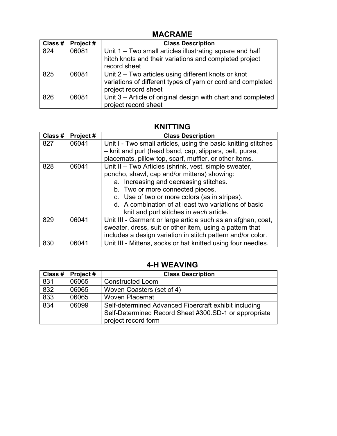### **MACRAME**

| Class # | Project# | <b>Class Description</b>                                                                                                                   |
|---------|----------|--------------------------------------------------------------------------------------------------------------------------------------------|
| 824     | 06081    | Unit 1 – Two small articles illustrating square and half<br>hitch knots and their variations and completed project<br>record sheet         |
| 825     | 06081    | Unit 2 – Two articles using different knots or knot<br>variations of different types of yarn or cord and completed<br>project record sheet |
| 826     | 06081    | Unit 3 – Article of original design with chart and completed<br>project record sheet                                                       |

## **KNITTING**

| Class # | Project# | <b>Class Description</b>                                                                                                                                                                                                                                                                                                               |
|---------|----------|----------------------------------------------------------------------------------------------------------------------------------------------------------------------------------------------------------------------------------------------------------------------------------------------------------------------------------------|
| 827     | 06041    | Unit I - Two small articles, using the basic knitting stitches<br>- knit and purl (head band, cap, slippers, belt, purse,                                                                                                                                                                                                              |
|         |          | placemats, pillow top, scarf, muffler, or other items.                                                                                                                                                                                                                                                                                 |
| 828     | 06041    | Unit II - Two Articles (shrink, vest, simple sweater,<br>poncho, shawl, cap and/or mittens) showing:<br>a. Increasing and decreasing stitches.<br>b. Two or more connected pieces.<br>c. Use of two or more colors (as in stripes).<br>d. A combination of at least two variations of basic<br>knit and purl stitches in each article. |
| 829     | 06041    | Unit III - Garment or large article such as an afghan, coat,<br>sweater, dress, suit or other item, using a pattern that<br>includes a design variation in stitch pattern and/or color.                                                                                                                                                |
| 830     | 06041    | Unit III - Mittens, socks or hat knitted using four needles.                                                                                                                                                                                                                                                                           |

# **4-H WEAVING**

| Class $#$ $ $ | Project# | <b>Class Description</b>                                                                                       |
|---------------|----------|----------------------------------------------------------------------------------------------------------------|
| 831           | 06065    | <b>Constructed Loom</b>                                                                                        |
| 832           | 06065    | Woven Coasters (set of 4)                                                                                      |
| 833           | 06065    | <b>Woven Placemat</b>                                                                                          |
| 834           | 06099    | Self-determined Advanced Fibercraft exhibit including<br>Self-Determined Record Sheet #300.SD-1 or appropriate |
|               |          | project record form                                                                                            |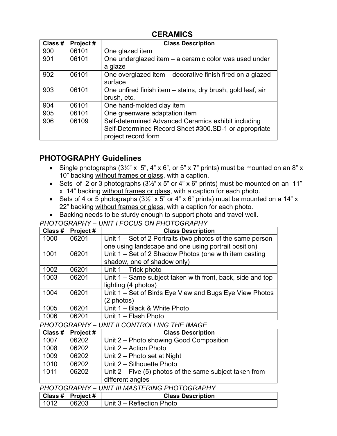### **CERAMICS**

| Class # | Project# | <b>Class Description</b>                                                                                                            |
|---------|----------|-------------------------------------------------------------------------------------------------------------------------------------|
| 900     | 06101    | One glazed item                                                                                                                     |
| 901     | 06101    | One underglazed item - a ceramic color was used under<br>a glaze                                                                    |
| 902     | 06101    | One overglazed item – decorative finish fired on a glazed<br>surface                                                                |
| 903     | 06101    | One unfired finish item - stains, dry brush, gold leaf, air<br>brush, etc.                                                          |
| 904     | 06101    | One hand-molded clay item                                                                                                           |
| 905     | 06101    | One greenware adaptation item                                                                                                       |
| 906     | 06109    | Self-determined Advanced Ceramics exhibit including<br>Self-Determined Record Sheet #300.SD-1 or appropriate<br>project record form |

# **PHOTOGRAPHY Guidelines**

- Single photographs  $(3\frac{1}{2}x \times 5, 4x \times 6, 6x)$  or 5 x 7" prints) must be mounted on an 8" x 10" backing without frames or glass, with a caption.
- Sets of 2 or 3 photographs  $(3\frac{1}{2}$ " x 5" or 4" x 6" prints) must be mounted on an 11" x 14" backing without frames or glass, with a caption for each photo.
- Sets of 4 or 5 photographs  $(3\frac{1}{2}x^2 \times 5y^2 \text{ or } 4x^2 \times 6y^2 \text{ prints})$  must be mounted on a 14" x 22" backing without frames or glass, with a caption for each photo.
- Backing needs to be sturdy enough to support photo and travel well.

*PHOTOGRAPHY – UNIT I FOCUS ON PHOTOGRAPHY*

| Class #                                     | Project# | <b>Class Description</b>                                                |
|---------------------------------------------|----------|-------------------------------------------------------------------------|
| 1000                                        | 06201    | Unit 1 – Set of 2 Portraits (two photos of the same person              |
|                                             |          | one using landscape and one using portrait position)                    |
| 1001                                        | 06201    | Unit $1 - Set$ of 2 Shadow Photos (one with item casting                |
|                                             |          | shadow, one of shadow only)                                             |
| 1002                                        | 06201    | Unit $1 -$ Trick photo                                                  |
| 1003                                        | 06201    | Unit 1 – Same subject taken with front, back, side and top              |
|                                             |          | lighting (4 photos)                                                     |
| 1004                                        | 06201    | Unit 1 – Set of Birds Eye View and Bugs Eye View Photos                 |
|                                             |          | (2 photos)                                                              |
| 1005                                        | 06201    | Unit 1 - Black & White Photo                                            |
| 1006                                        | 06201    | Unit 1 - Flash Photo                                                    |
| PHOTOGRAPHY - UNIT II CONTROLLING THE IMAGE |          |                                                                         |
| Class #                                     | Project# | <b>Class Description</b>                                                |
| 1007                                        | 06202    | Unit 2 – Photo showing Good Composition                                 |
| $\lambda$                                   | nnnn     | $\mathsf{L} \cup \mathsf{L}$ . A is not in $\mathsf{L} \cup \mathsf{L}$ |

| ,,,,, | <b>UULUL</b> | <b>UTTLE</b> THOW SHOWING OUGH COMPOSITION              |
|-------|--------------|---------------------------------------------------------|
| 1008  | 06202        | Unit 2 – Action Photo                                   |
| 1009  | 06202        | Unit 2 – Photo set at Night                             |
| 1010  | 06202        | Unit 2 – Silhouette Photo                               |
| 1011  | 06202        | Unit 2 – Five (5) photos of the same subject taken from |
|       |              | different angles                                        |

*PHOTOGRAPHY – UNIT III MASTERING PHOTOGRAPHY*

|      | $\vert$ Class # $\vert$ Project # | <b>Class Description</b>  |
|------|-----------------------------------|---------------------------|
| 1012 | $ 06203\rangle$                   | Unit 3 – Reflection Photo |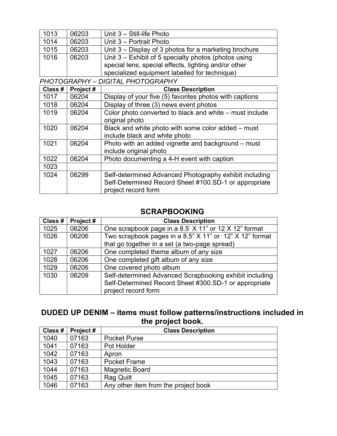| 1013 | 06203 | Unit $3 - Still-life$ Photo                                                                                                                                     |
|------|-------|-----------------------------------------------------------------------------------------------------------------------------------------------------------------|
| 1014 | 06203 | Unit 3 - Portrait Photo                                                                                                                                         |
| 1015 | 06203 | Unit 3 – Display of 3 photos for a marketing brochure                                                                                                           |
| 1016 | 06203 | Unit $3$ – Exhibit of 5 specialty photos (photos using<br>special lens, special effects, lighting and/or other<br>specialized equipment labelled for technique) |

*PHOTOGRAPHY – DIGITAL PHOTOGRAPHY*

| Class # | Project# | <b>Class Description</b>                                                                                                               |
|---------|----------|----------------------------------------------------------------------------------------------------------------------------------------|
| 1017    | 06204    | Display of your five (5) favorites photos with captions                                                                                |
| 1018    | 06204    | Display of three (3) news event photos                                                                                                 |
| 1019    | 06204    | Color photo converted to black and white – must include<br>original photo                                                              |
| 1020    | 06204    | Black and white photo with some color added – must<br>include black and white photo                                                    |
| 1021    | 06204    | Photo with an added vignette and background – must<br>include original photo                                                           |
| 1022    | 06204    | Photo documenting a 4-H event with caption                                                                                             |
| 1023    |          |                                                                                                                                        |
| 1024    | 06299    | Self-determined Advanced Photography exhibit including<br>Self-Determined Record Sheet #100.SD-1 or appropriate<br>project record form |

### **SCRAPBOOKING**

| Class # | Project# | <b>Class Description</b>                                |
|---------|----------|---------------------------------------------------------|
| 1025    | 06206    | One scrapbook page in a 8.5' X 11" or 12 X 12" format   |
| 1026    | 06206    | Two scrapbook pages in a 8.5" X 11" or 12" X 12" format |
|         |          | that go together in a set (a two-page spread)           |
| 1027    | 06206    | One completed theme album of any size                   |
| 1028    | 06206    | One completed gift album of any size                    |
| 1029    | 06206    | One covered photo album                                 |
| 1030    | 06209    | Self-determined Advanced Scrapbooking exhibit including |
|         |          | Self-Determined Record Sheet #300.SD-1 or appropriate   |
|         |          | project record form                                     |

# **DUDED UP DENIM – items must follow patterns/instructions included in the project book.**

| Class # | Project# | <b>Class Description</b>             |
|---------|----------|--------------------------------------|
| 1040    | 07163    | <b>Pocket Purse</b>                  |
| 1041    | 07163    | Pot Holder                           |
| 1042    | 07163    | Apron                                |
| 1043    | 07163    | <b>Pocket Frame</b>                  |
| 1044    | 07163    | <b>Magnetic Board</b>                |
| 1045    | 07163    | <b>Rag Quilt</b>                     |
| 1046    | 07163    | Any other item from the project book |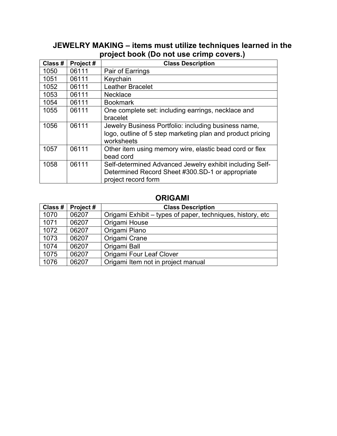### **JEWELRY MAKING – items must utilize techniques learned in the project book (Do not use crimp covers.)**

| Class # | Project# | <b>Class Description</b>                                   |
|---------|----------|------------------------------------------------------------|
| 1050    | 06111    | Pair of Earrings                                           |
| 1051    | 06111    | Keychain                                                   |
| 1052    | 06111    | <b>Leather Bracelet</b>                                    |
| 1053    | 06111    | <b>Necklace</b>                                            |
| 1054    | 06111    | <b>Bookmark</b>                                            |
| 1055    | 06111    | One complete set: including earrings, necklace and         |
|         |          | bracelet                                                   |
| 1056    | 06111    | Jewelry Business Portfolio: including business name,       |
|         |          | logo, outline of 5 step marketing plan and product pricing |
|         |          | worksheets                                                 |
| 1057    | 06111    | Other item using memory wire, elastic bead cord or flex    |
|         |          | bead cord                                                  |
| 1058    | 06111    | Self-determined Advanced Jewelry exhibit including Self-   |
|         |          | Determined Record Sheet #300.SD-1 or appropriate           |
|         |          | project record form                                        |

### **ORIGAMI**

| Class # | Project# | <b>Class Description</b>                                   |
|---------|----------|------------------------------------------------------------|
| 1070    | 06207    | Origami Exhibit – types of paper, techniques, history, etc |
| 1071    | 06207    | Origami House                                              |
| 1072    | 06207    | Origami Piano                                              |
| 1073    | 06207    | Origami Crane                                              |
| 1074    | 06207    | Origami Ball                                               |
| 1075    | 06207    | Origami Four Leaf Clover                                   |
| 1076    | 06207    | Origami Item not in project manual                         |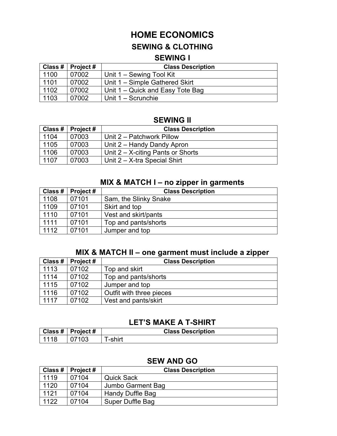# **HOME ECONOMICS**

### **SEWING & CLOTHING**

### **SEWING I**

|      | Class #   Project # | <b>Class Description</b>         |
|------|---------------------|----------------------------------|
| 1100 | 07002               | Unit 1 – Sewing Tool Kit         |
| 1101 | 07002               | Unit 1 - Simple Gathered Skirt   |
| 1102 | 07002               | Unit 1 – Quick and Easy Tote Bag |
| 1103 | 07002               | Unit 1 – Scrunchie               |

### **SEWING II**

|      | Class #   Project # | <b>Class Description</b>             |
|------|---------------------|--------------------------------------|
| 1104 | 07003               | Unit 2 – Patchwork Pillow            |
| 1105 | 07003               | Unit 2 – Handy Dandy Apron           |
| 1106 | 07003               | Unit $2 - X$ -citing Pants or Shorts |
| 1107 | 07003               | Unit 2 – X-tra Special Shirt         |

### **MIX & MATCH I – no zipper in garments**

| Class # | <b>Project #</b> | <b>Class Description</b> |
|---------|------------------|--------------------------|
| 1108    | 07101            | Sam, the Slinky Snake    |
| 1109    | 07101            | Skirt and top            |
| 1110    | 07101            | Vest and skirt/pants     |
| 1111    | 07101            | Top and pants/shorts     |
| 1112    | 07101            | Jumper and top           |

### **MIX & MATCH II – one garment must include a zipper**

| Class # | Project # | <b>Class Description</b> |
|---------|-----------|--------------------------|
| 1113    | 07102     | Top and skirt            |
| 1114    | 07102     | Top and pants/shorts     |
| 1115    | 07102     | Jumper and top           |
| 1116    | 07102     | Outfit with three pieces |
| 1117    | 07102     | Vest and pants/skirt     |

### **LET'S MAKE A T-SHIRT**

|      | $\vert$ Class # $\vert$ Project # | <b>Class Description</b> |
|------|-----------------------------------|--------------------------|
| 1118 | 07103                             | -shirt                   |

### **SEW AND GO**

| Class # | Project $#$ | <b>Class Description</b> |
|---------|-------------|--------------------------|
| 1119    | 07104       | <b>Quick Sack</b>        |
| 1120    | 07104       | Jumbo Garment Bag        |
| 1121    | 07104       | Handy Duffle Bag         |
| 1122    | 07104       | Super Duffle Bag         |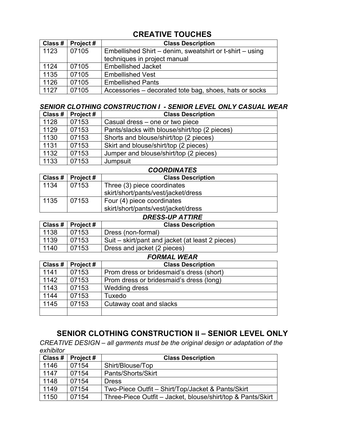# **CREATIVE TOUCHES**

| Class # | Project# | <b>Class Description</b>                                 |
|---------|----------|----------------------------------------------------------|
| 1123    | 07105    | Embellished Shirt – denim, sweatshirt or t-shirt – using |
|         |          | techniques in project manual                             |
| 1124    | 07105    | <b>Embellished Jacket</b>                                |
| 1135    | 07105    | <b>Embellished Vest</b>                                  |
| 1126    | 07105    | <b>Embellished Pants</b>                                 |
| 1127    | 07105    | Accessories – decorated tote bag, shoes, hats or socks   |

#### *SENIOR CLOTHING CONSTRUCTION I - SENIOR LEVEL ONLY CASUAL WEAR*

| Class # | Project# | <b>Class Description</b>                      |
|---------|----------|-----------------------------------------------|
| 1128    | 07153    | Casual dress – one or two piece               |
| 1129    | 07153    | Pants/slacks with blouse/shirt/top (2 pieces) |
| 1130    | 07153    | Shorts and blouse/shirt/top (2 pieces)        |
| 1131    | 07153    | Skirt and blouse/shirt/top (2 pieces)         |
| 1132    | 07153    | Jumper and blouse/shirt/top (2 pieces)        |
| 1133    | 07153    | Jumpsuit                                      |

|      | <b>COORDINATES</b>  |                                     |  |
|------|---------------------|-------------------------------------|--|
|      | Class #   Project # | <b>Class Description</b>            |  |
| 1134 | 07153               | Three (3) piece coordinates         |  |
|      |                     | skirt/short/pants/vest/jacket/dress |  |
| 1135 | 07153               | Four (4) piece coordinates          |  |
|      |                     | skirt/short/pants/vest/jacket/dress |  |

#### *DRESS-UP ATTIRE*

|      | Class $#$   Project $#$ | <b>Class Description</b>                         |
|------|-------------------------|--------------------------------------------------|
| 1138 | 07153                   | Dress (non-formal)                               |
| 1139 | 07153                   | Suit – skirt/pant and jacket (at least 2 pieces) |
| 1140 | 07153                   | Dress and jacket (2 pieces)                      |
|      |                         | <u> Farii 11/Fir</u>                             |

|         |          | <b>FORMAL WEAR</b>                       |
|---------|----------|------------------------------------------|
| Class # | Project# | <b>Class Description</b>                 |
| 1141    | 07153    | Prom dress or bridesmaid's dress (short) |
| 1142    | 07153    | Prom dress or bridesmaid's dress (long)  |
| 1143    | 07153    | <b>Wedding dress</b>                     |
| 1144    | 07153    | Tuxedo                                   |
| 1145    | 07153    | Cutaway coat and slacks                  |
|         |          |                                          |

# **SENIOR CLOTHING CONSTRUCTION II – SENIOR LEVEL ONLY**

*CREATIVE DESIGN – all garments must be the original design or adaptation of the exhibitor*

| Class # | Project $#$ | <b>Class Description</b>                                    |
|---------|-------------|-------------------------------------------------------------|
| 1146    | 07154       | Shirt/Blouse/Top                                            |
| 1147    | 07154       | Pants/Shorts/Skirt                                          |
| 1148    | 07154       | <b>Dress</b>                                                |
| 1149    | 07154       | Two-Piece Outfit - Shirt/Top/Jacket & Pants/Skirt           |
| 1150    | 07154       | Three-Piece Outfit – Jacket, blouse/shirt/top & Pants/Skirt |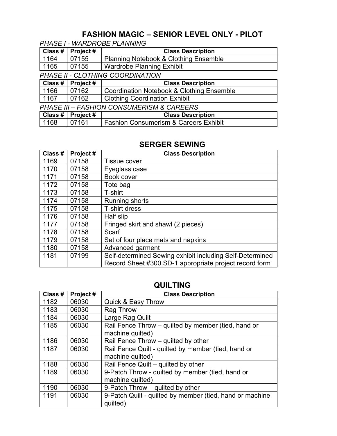# **FASHION MAGIC – SENIOR LEVEL ONLY - PILOT**

*PHASE I - WARDROBE PLANNING*

| Class #                                              | Project# | <b>Class Description</b>                             |  |
|------------------------------------------------------|----------|------------------------------------------------------|--|
| 1164                                                 | 07155    | <b>Planning Notebook &amp; Clothing Ensemble</b>     |  |
| 1165                                                 | 07155    | <b>Wardrobe Planning Exhibit</b>                     |  |
|                                                      |          | PHASE II - CLOTHING COORDINATION                     |  |
| Class #                                              | Project# | <b>Class Description</b>                             |  |
| ↑1166                                                | 07162    | <b>Coordination Notebook &amp; Clothing Ensemble</b> |  |
| 1167                                                 | 07162    | <b>Clothing Coordination Exhibit</b>                 |  |
| <b>PHASE III - FASHION CONSUMERISM &amp; CAREERS</b> |          |                                                      |  |
| Class #                                              | Project# | <b>Class Description</b>                             |  |
| 1168                                                 | 07161    | <b>Fashion Consumerism &amp; Careers Exhibit</b>     |  |

### **SERGER SEWING**

| Class # | Project# | <b>Class Description</b>                                                                                           |
|---------|----------|--------------------------------------------------------------------------------------------------------------------|
| 1169    | 07158    | Tissue cover                                                                                                       |
| 1170    | 07158    | Eyeglass case                                                                                                      |
| 1171    | 07158    | Book cover                                                                                                         |
| 1172    | 07158    | Tote bag                                                                                                           |
| 1173    | 07158    | T-shirt                                                                                                            |
| 1174    | 07158    | Running shorts                                                                                                     |
| 1175    | 07158    | T-shirt dress                                                                                                      |
| 1176    | 07158    | Half slip                                                                                                          |
| 1177    | 07158    | Fringed skirt and shawl (2 pieces)                                                                                 |
| 1178    | 07158    | Scarf                                                                                                              |
| 1179    | 07158    | Set of four place mats and napkins                                                                                 |
| 1180    | 07158    | Advanced garment                                                                                                   |
| 1181    | 07199    | Self-determined Sewing exhibit including Self-Determined<br>Record Sheet #300.SD-1 appropriate project record form |

### **QUILTING**

| Class # | Project# | <b>Class Description</b>                                 |
|---------|----------|----------------------------------------------------------|
| 1182    | 06030    | <b>Quick &amp; Easy Throw</b>                            |
| 1183    | 06030    | Rag Throw                                                |
| 1184    | 06030    | Large Rag Quilt                                          |
| 1185    | 06030    | Rail Fence Throw – quilted by member (tied, hand or      |
|         |          | machine quilted)                                         |
| 1186    | 06030    | Rail Fence Throw – quilted by other                      |
| 1187    | 06030    | Rail Fence Quilt - quilted by member (tied, hand or      |
|         |          | machine quilted)                                         |
| 1188    | 06030    | Rail Fence Quilt - quilted by other                      |
| 1189    | 06030    | 9-Patch Throw - quilted by member (tied, hand or         |
|         |          | machine quilted)                                         |
| 1190    | 06030    | 9-Patch Throw – quilted by other                         |
| 1191    | 06030    | 9-Patch Quilt - quilted by member (tied, hand or machine |
|         |          | quilted)                                                 |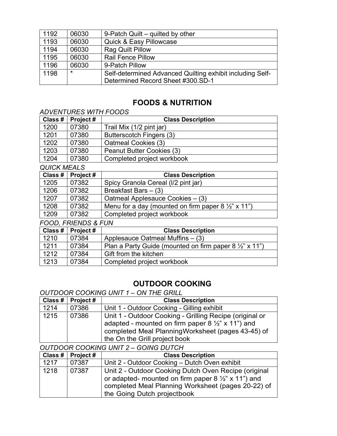| 1192 | 06030   | 9-Patch Quilt – quilted by other                          |
|------|---------|-----------------------------------------------------------|
| 1193 | 06030   | <b>Quick &amp; Easy Pillowcase</b>                        |
| 1194 | 06030   | <b>Rag Quilt Pillow</b>                                   |
| 1195 | 06030   | <b>Rail Fence Pillow</b>                                  |
| 1196 | 06030   | 9-Patch Pillow                                            |
| 1198 | $\star$ | Self-determined Advanced Quilting exhibit including Self- |
|      |         | Determined Record Sheet #300.SD-1                         |

### **FOODS & NUTRITION**

#### *ADVENTURES WITH FOODS*

| Class # | Project# | <b>Class Description</b>   |
|---------|----------|----------------------------|
| 1200    | 07380    | Trail Mix (1/2 pint jar)   |
| 1201    | 07380    | Butterscotch Fingers (3)   |
| 1202    | 07380    | Oatmeal Cookies (3)        |
| 1203    | 07380    | Peanut Butter Cookies (3)  |
| 1204    | 07380    | Completed project workbook |
| -       |          |                            |

#### *QUICK MEALS*

| Class # | <b>Project #</b> | <b>Class Description</b>                                      |
|---------|------------------|---------------------------------------------------------------|
| 1205    | 07382            | Spicy Granola Cereal (I/2 pint jar)                           |
| 1206    | 07382            | Breakfast Bars $-$ (3)                                        |
| 1207    | 07382            | Oatmeal Applesauce Cookies - (3)                              |
| 1208    | 07382            | Menu for a day (mounted on firm paper $8\frac{1}{2}$ " x 11") |
| 1209    | 07382            | Completed project workbook                                    |

#### *FOOD, FRIENDS & FUN*

|      | Class #   Project # | <b>Class Description</b>                                          |
|------|---------------------|-------------------------------------------------------------------|
| 1210 | 07384               | Applesauce Oatmeal Muffins $-$ (3)                                |
| 1211 | 07384               | Plan a Party Guide (mounted on firm paper $8\frac{1}{2}$ " x 11") |
| 1212 | 07384               | Gift from the kitchen                                             |
| 1213 | 07384               | Completed project workbook                                        |

## **OUTDOOR COOKING**

#### *OUTDOOR COOKING UNIT 1 – ON THE GRILL*

| Class # | Project# | <b>Class Description</b>                                     |
|---------|----------|--------------------------------------------------------------|
| 1214    | 07386    | Unit 1 - Outdoor Cooking - Gilling exhibit                   |
| 1215    | 07386    | Unit 1 - Outdoor Cooking - Grilling Recipe (original or      |
|         |          | adapted - mounted on firm paper 8 $\frac{1}{2}$ " x 11") and |
|         |          | completed Meal PlanningWorksheet (pages 43-45) of            |
|         |          | the On the Grill project book                                |

#### *OUTDOOR COOKING UNIT 2 – GOING DUTCH*

| Class #   Project # |       | <b>Class Description</b>                                                                                                                                                                                   |
|---------------------|-------|------------------------------------------------------------------------------------------------------------------------------------------------------------------------------------------------------------|
| 1217                | 07387 | Unit 2 - Outdoor Cooking - Dutch Oven exhibit                                                                                                                                                              |
| 1218                | 07387 | Unit 2 - Outdoor Cooking Dutch Oven Recipe (original<br>or adapted- mounted on firm paper $8\frac{1}{2}$ " x 11") and<br>completed Meal Planning Worksheet (pages 20-22) of<br>the Going Dutch projectbook |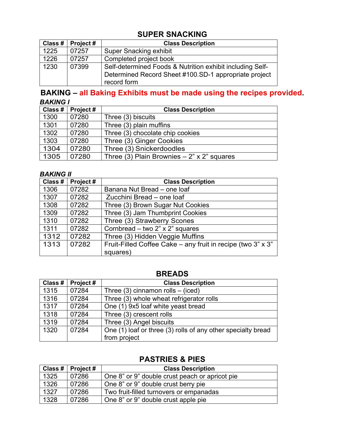## **SUPER SNACKING**

|      | Class #   Project # | <b>Class Description</b>                                             |
|------|---------------------|----------------------------------------------------------------------|
| 1225 | 07257               | Super Snacking exhibit                                               |
| 1226 | 07257               | Completed project book                                               |
| 1230 | 07399               | Self-determined Foods & Nutrition exhibit including Self-            |
|      |                     | Determined Record Sheet #100.SD-1 appropriate project<br>record form |

### **BAKING – all Baking Exhibits must be made using the recipes provided.** *BAKING I*

| Class # | Project $#$ | <b>Class Description</b>                     |
|---------|-------------|----------------------------------------------|
| 1300    | 07280       | Three (3) biscuits                           |
| 1301    | 07280       | Three (3) plain muffins                      |
| 1302    | 07280       | Three (3) chocolate chip cookies             |
| 1303    | 07280       | Three (3) Ginger Cookies                     |
| 1304    | 07280       | Three (3) Snickerdoodles                     |
| 1305    | 07280       | Three (3) Plain Brownies $-2$ " x 2" squares |

#### *BAKING II*

| Class # | Project# | <b>Class Description</b>                                           |
|---------|----------|--------------------------------------------------------------------|
| 1306    | 07282    | Banana Nut Bread - one loaf                                        |
| 1307    | 07282    | Zucchini Bread - one loaf                                          |
| 1308    | 07282    | Three (3) Brown Sugar Nut Cookies                                  |
| 1309    | 07282    | Three (3) Jam Thumbprint Cookies                                   |
| 1310    | 07282    | Three (3) Strawberry Scones                                        |
| 1311    | 07282    | Cornbread – two $2$ " x $2$ " squares                              |
| 1312    | 07282    | Three (3) Hidden Veggie Muffins                                    |
| 1313    | 07282    | Fruit-Filled Coffee Cake – any fruit in recipe (two $3$ " x $3$ ") |
|         |          | squares)                                                           |

### **BREADS**

| Class # | Project# | <b>Class Description</b>                                     |
|---------|----------|--------------------------------------------------------------|
| 1315    | 07284    | Three $(3)$ cinnamon rolls – (iced)                          |
| 1316    | 07284    | Three (3) whole wheat refrigerator rolls                     |
| 1317    | 07284    | One (1) 9x5 loaf white yeast bread                           |
| 1318    | 07284    | Three (3) crescent rolls                                     |
| 1319    | 07284    | Three (3) Angel biscuits                                     |
| 1320    | 07284    | One (1) loaf or three (3) rolls of any other specialty bread |
|         |          | from project                                                 |

## **PASTRIES & PIES**

|      | Class #   Project # | <b>Class Description</b>                       |
|------|---------------------|------------------------------------------------|
| 1325 | 07286               | One 8" or 9" double crust peach or apricot pie |
| 1326 | 07286               | One 8" or 9" double crust berry pie            |
| 1327 | 07286               | Two fruit-filled turnovers or empanadas        |
| 1328 | 07286               | One 8" or 9" double crust apple pie            |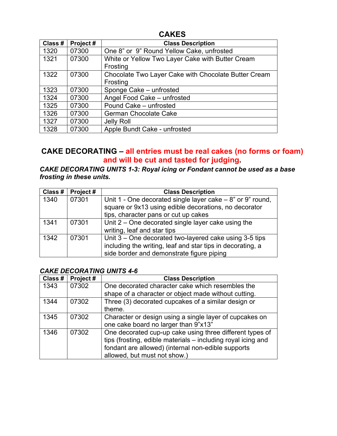### **CAKES**

| Class # | Project# | <b>Class Description</b>                                         |
|---------|----------|------------------------------------------------------------------|
| 1320    | 07300    | One 8" or 9" Round Yellow Cake, unfrosted                        |
| 1321    | 07300    | White or Yellow Two Layer Cake with Butter Cream<br>Frosting     |
| 1322    | 07300    | Chocolate Two Layer Cake with Chocolate Butter Cream<br>Frosting |
| 1323    | 07300    | Sponge Cake - unfrosted                                          |
| 1324    | 07300    | Angel Food Cake - unfrosted                                      |
| 1325    | 07300    | Pound Cake - unfrosted                                           |
| 1326    | 07300    | <b>German Chocolate Cake</b>                                     |
| 1327    | 07300    | Jelly Roll                                                       |
| 1328    | 07300    | Apple Bundt Cake - unfrosted                                     |

### **CAKE DECORATING – all entries must be real cakes (no forms or foam) and will be cut and tasted for judging.**

### *CAKE DECORATING UNITS 1-3: Royal icing or Fondant cannot be used as a base frosting in these units.*

| Class # | Project# | <b>Class Description</b>                                                                                                                                      |
|---------|----------|---------------------------------------------------------------------------------------------------------------------------------------------------------------|
| 1340    | 07301    | Unit 1 - One decorated single layer cake $-8$ " or 9" round,<br>square or 9x13 using edible decorations, no decorator<br>tips, character pans or cut up cakes |
|         |          |                                                                                                                                                               |
| 1341    | 07301    | Unit $2$ – One decorated single layer cake using the                                                                                                          |
|         |          | writing, leaf and star tips                                                                                                                                   |
| 1342    | 07301    | Unit 3 – One decorated two-layered cake using 3-5 tips                                                                                                        |
|         |          | including the writing, leaf and star tips in decorating, a                                                                                                    |
|         |          | side border and demonstrate figure piping                                                                                                                     |

### *CAKE DECORATING UNITS 4-6*

| Class # | Project# | <b>Class Description</b>                                     |
|---------|----------|--------------------------------------------------------------|
| 1343    | 07302    | One decorated character cake which resembles the             |
|         |          | shape of a character or object made without cutting.         |
| 1344    | 07302    | Three (3) decorated cupcakes of a similar design or          |
|         |          | theme.                                                       |
| 1345    | 07302    | Character or design using a single layer of cupcakes on      |
|         |          | one cake board no larger than 9"x13"                         |
| 1346    | 07302    | One decorated cup-up cake using three different types of     |
|         |          | tips (frosting, edible materials - including royal icing and |
|         |          | fondant are allowed) (internal non-edible supports           |
|         |          | allowed, but must not show.)                                 |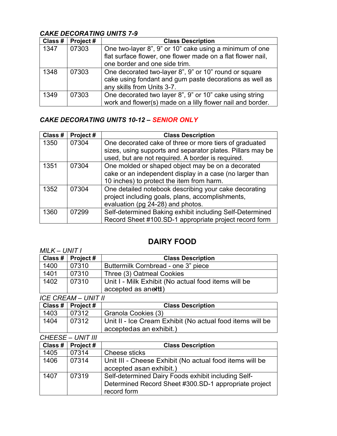### *CAKE DECORATING UNITS 7-9*

| Class # | Project# | <b>Class Description</b>                                    |
|---------|----------|-------------------------------------------------------------|
| 1347    | 07303    | One two-layer 8", 9" or 10" cake using a minimum of one     |
|         |          | flat surface flower, one flower made on a flat flower nail, |
|         |          | one border and one side trim.                               |
| 1348    | 07303    | One decorated two-layer 8", 9" or 10" round or square       |
|         |          | cake using fondant and gum paste decorations as well as     |
|         |          | any skills from Units 3-7.                                  |
| 1349    | 07303    | One decorated two layer 8", 9" or 10" cake using string     |
|         |          | work and flower(s) made on a lilly flower nail and border.  |

### *CAKE DECORATING UNITS 10-12 – SENIOR ONLY*

| Class # | Project# | <b>Class Description</b>                                   |
|---------|----------|------------------------------------------------------------|
| 1350    | 07304    | One decorated cake of three or more tiers of graduated     |
|         |          | sizes, using supports and separator plates. Pillars may be |
|         |          | used, but are not required. A border is required.          |
| 1351    | 07304    | One molded or shaped object may be on a decorated          |
|         |          | cake or an independent display in a case (no larger than   |
|         |          | 10 inches) to protect the item from harm.                  |
| 1352    | 07304    | One detailed notebook describing your cake decorating      |
|         |          | project including goals, plans, accomplishments,           |
|         |          | evaluation (pg 24-28) and photos.                          |
| 1360    | 07299    | Self-determined Baking exhibit including Self-Determined   |
|         |          | Record Sheet #100.SD-1 appropriate project record form     |

# **DAIRY FOOD**

| MILK – UNIT I |                     |                                                     |
|---------------|---------------------|-----------------------------------------------------|
|               | Class #   Project # | <b>Class Description</b>                            |
| 1400          | 07310               | Buttermilk Cornbread - one 3" piece                 |
| 1401          | 07310               | Three (3) Oatmeal Cookies                           |
| 1402          | 07310               | Unit I - Milk Exhibit (No actual food items will be |
|               |                     | accepted as anetti)                                 |

*ICE CREAM – UNIT II*

|      | Class #   Project # | <b>Class Description</b>                                                             |
|------|---------------------|--------------------------------------------------------------------------------------|
| 1403 | 07312               | Granola Cookies (3)                                                                  |
| 1404 | 07312               | Unit II - Ice Cream Exhibit (No actual food items will be<br>acceptedas an exhibit.) |

*CHEESE – UNIT III*

| Class # | Project# | <b>Class Description</b>                                                                                                    |
|---------|----------|-----------------------------------------------------------------------------------------------------------------------------|
| 1405    | 07314    | Cheese sticks                                                                                                               |
| 1406    | 07314    | Unit III - Cheese Exhibit (No actual food items will be<br>accepted as an exhibit.)                                         |
| 1407    | 07319    | Self-determined Dairy Foods exhibit including Self-<br>Determined Record Sheet #300.SD-1 appropriate project<br>record form |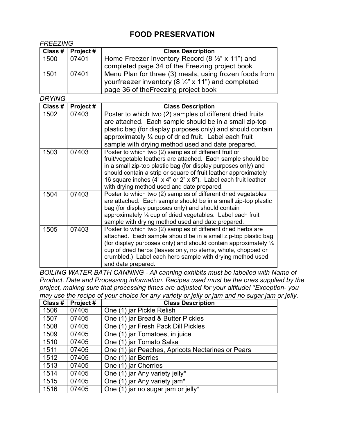# **FOOD PRESERVATION**

| <b>FREEZING</b> |           |                                                                                                                                            |
|-----------------|-----------|--------------------------------------------------------------------------------------------------------------------------------------------|
| Class #         | Project # | <b>Class Description</b>                                                                                                                   |
| 1500            | 07401     | Home Freezer Inventory Record (8 $\frac{1}{2}$ " x 11") and                                                                                |
|                 |           | completed page 34 of the Freezing project book                                                                                             |
| 1501            | 07401     | Menu Plan for three (3) meals, using frozen foods from                                                                                     |
|                 |           | yourfreezer inventory (8 $\frac{1}{2}$ " x 11") and completed                                                                              |
|                 |           | page 36 of the Freezing project book                                                                                                       |
| <b>DRYING</b>   |           |                                                                                                                                            |
| Class #         | Project#  | <b>Class Description</b>                                                                                                                   |
| 1502            | 07403     | Poster to which two (2) samples of different dried fruits                                                                                  |
|                 |           | are attached. Each sample should be in a small zip-top                                                                                     |
|                 |           | plastic bag (for display purposes only) and should contain                                                                                 |
|                 |           | approximately $\frac{1}{4}$ cup of dried fruit. Label each fruit                                                                           |
|                 |           | sample with drying method used and date prepared.                                                                                          |
| 1503            | 07403     | Poster to which two (2) samples of different fruit or                                                                                      |
|                 |           | fruit/vegetable leathers are attached. Each sample should be                                                                               |
|                 |           | in a small zip-top plastic bag (for display purposes only) and                                                                             |
|                 |           | should contain a strip or square of fruit leather approximately<br>16 square inches (4" x 4" or 2" x 8"). Label each fruit leather         |
|                 |           | with drying method used and date prepared.                                                                                                 |
| 1504            | 07403     | Poster to which two (2) samples of different dried vegetables                                                                              |
|                 |           | are attached. Each sample should be in a small zip-top plastic                                                                             |
|                 |           | bag (for display purposes only) and should contain                                                                                         |
|                 |           | approximately 1/4 cup of dried vegetables. Label each fruit                                                                                |
|                 |           | sample with drying method used and date prepared.                                                                                          |
| 1505            | 07403     | Poster to which two (2) samples of different dried herbs are                                                                               |
|                 |           | attached. Each sample should be in a small zip-top plastic bag                                                                             |
|                 |           | (for display purposes only) and should contain approximately $\frac{1}{4}$<br>cup of dried herbs (leaves only, no stems, whole, chopped or |
|                 |           | crumbled.) Label each herb sample with drying method used                                                                                  |
|                 |           | and date prepared.                                                                                                                         |
|                 |           |                                                                                                                                            |

*BOILING WATER BATH CANNING - All canning exhibits must be labelled with Name of Product, Date and Processing information. Recipes used must be the ones supplied by the project, making sure that processing times are adjusted for your altitude! \*Exception- you may use the recipe of your choice for any variety or jelly or jam and no sugar jam or jelly.*

| Class # | Project# | <b>Class Description</b>                          |
|---------|----------|---------------------------------------------------|
| 1506    | 07405    | One (1) jar Pickle Relish                         |
| 1507    | 07405    | One (1) jar Bread & Butter Pickles                |
| 1508    | 07405    | One (1) jar Fresh Pack Dill Pickles               |
| 1509    | 07405    | One (1) jar Tomatoes, in juice                    |
| 1510    | 07405    | One (1) jar Tomato Salsa                          |
| 1511    | 07405    | One (1) jar Peaches, Apricots Nectarines or Pears |
| 1512    | 07405    | One (1) jar Berries                               |
| 1513    | 07405    | One (1) jar Cherries                              |
| 1514    | 07405    | One (1) jar Any variety jelly*                    |
| 1515    | 07405    | One (1) jar Any variety jam*                      |
| 1516    | 07405    | One (1) jar no sugar jam or jelly*                |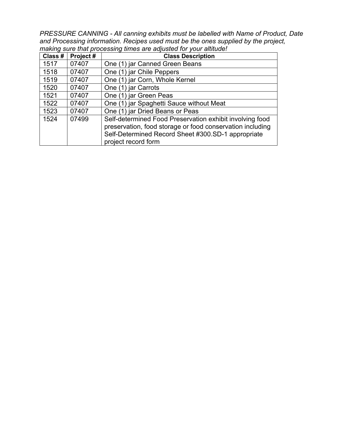*PRESSURE CANNING - All canning exhibits must be labelled with Name of Product, Date and Processing information. Recipes used must be the ones supplied by the project, making sure that processing times are adjusted for your altitude!*

| Class # | Project# | <b>Class Description</b>                                                                                                                                                                           |
|---------|----------|----------------------------------------------------------------------------------------------------------------------------------------------------------------------------------------------------|
| 1517    | 07407    | One (1) jar Canned Green Beans                                                                                                                                                                     |
| 1518    | 07407    | One (1) jar Chile Peppers                                                                                                                                                                          |
| 1519    | 07407    | One (1) jar Corn, Whole Kernel                                                                                                                                                                     |
| 1520    | 07407    | One (1) jar Carrots                                                                                                                                                                                |
| 1521    | 07407    | One (1) jar Green Peas                                                                                                                                                                             |
| 1522    | 07407    | One (1) jar Spaghetti Sauce without Meat                                                                                                                                                           |
| 1523    | 07407    | One (1) jar Dried Beans or Peas                                                                                                                                                                    |
| 1524    | 07499    | Self-determined Food Preservation exhibit involving food<br>preservation, food storage or food conservation including<br>Self-Determined Record Sheet #300.SD-1 appropriate<br>project record form |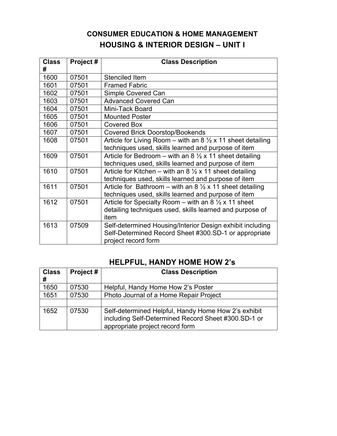# **CONSUMER EDUCATION & HOME MANAGEMENT HOUSING & INTERIOR DESIGN – UNIT I**

| <b>Class</b><br># | Project# | <b>Class Description</b>                                               |
|-------------------|----------|------------------------------------------------------------------------|
| 1600              | 07501    | Stenciled Item                                                         |
| 1601              | 07501    | <b>Framed Fabric</b>                                                   |
| 1602              | 07501    | Simple Covered Can                                                     |
| 1603              | 07501    | <b>Advanced Covered Can</b>                                            |
| 1604              | 07501    | Mini-Tack Board                                                        |
| 1605              | 07501    | <b>Mounted Poster</b>                                                  |
| 1606              | 07501    | Covered Box                                                            |
| 1607              | 07501    | <b>Covered Brick Doorstop/Bookends</b>                                 |
| 1608              | 07501    | Article for Living Room – with an 8 $\frac{1}{2}$ x 11 sheet detailing |
|                   |          | techniques used, skills learned and purpose of item                    |
| 1609              | 07501    | Article for Bedroom – with an 8 $\frac{1}{2}$ x 11 sheet detailing     |
|                   |          | techniques used, skills learned and purpose of item                    |
| 1610              | 07501    | Article for Kitchen – with an 8 $\frac{1}{2}$ x 11 sheet detailing     |
|                   |          | techniques used, skills learned and purpose of item                    |
| 1611              | 07501    | Article for Bathroom – with an 8 $\frac{1}{2}$ x 11 sheet detailing    |
|                   |          | techniques used, skills learned and purpose of item                    |
| 1612              | 07501    | Article for Specialty Room – with an 8 $\frac{1}{2}$ x 11 sheet        |
|                   |          | detailing techniques used, skills learned and purpose of               |
|                   |          | item                                                                   |
| 1613              | 07509    | Self-determined Housing/Interior Design exhibit including              |
|                   |          | Self-Determined Record Sheet #300.SD-1 or appropriate                  |
|                   |          | project record form                                                    |

# **HELPFUL, HANDY HOME HOW 2's**

| <b>Class</b><br># | Project# | <b>Class Description</b>                                                                                                                      |
|-------------------|----------|-----------------------------------------------------------------------------------------------------------------------------------------------|
| 1650              | 07530    | Helpful, Handy Home How 2's Poster                                                                                                            |
| 1651              | 07530    | Photo Journal of a Home Repair Project                                                                                                        |
|                   |          |                                                                                                                                               |
| 1652              | 07530    | Self-determined Helpful, Handy Home How 2's exhibit<br>including Self-Determined Record Sheet #300.SD-1 or<br>appropriate project record form |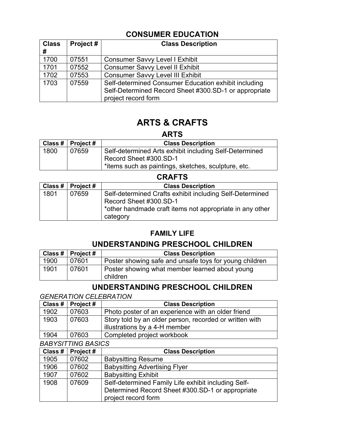## **CONSUMER EDUCATION**

| <b>Class</b><br># | Project# | <b>Class Description</b>                              |
|-------------------|----------|-------------------------------------------------------|
| 1700              | 07551    | <b>Consumer Savvy Level I Exhibit</b>                 |
| 1701              | 07552    | <b>Consumer Savvy Level II Exhibit</b>                |
| 1702              | 07553    | <b>Consumer Savvy Level III Exhibit</b>               |
| 1703              | 07559    | Self-determined Consumer Education exhibit including  |
|                   |          | Self-Determined Record Sheet #300.SD-1 or appropriate |
|                   |          | project record form                                   |

# **ARTS & CRAFTS**

**ARTS**

|      | Class #   Project # | <b>Class Description</b>                               |
|------|---------------------|--------------------------------------------------------|
| 1800 | 07659               | Self-determined Arts exhibit including Self-Determined |
|      |                     | Record Sheet #300.SD-1                                 |
|      |                     | titems such as paintings, sketches, sculpture, etc.    |

### **CRAFTS**

|      | Class #   Project # | <b>Class Description</b>                                                                                                                       |
|------|---------------------|------------------------------------------------------------------------------------------------------------------------------------------------|
| 1801 | 07659               | Self-determined Crafts exhibit including Self-Determined<br>Record Sheet #300.SD-1<br>*other handmade craft items not appropriate in any other |
|      |                     | category                                                                                                                                       |

# **FAMILY LIFE**

### **UNDERSTANDING PRESCHOOL CHILDREN**

|      | Class #   Project # | <b>Class Description</b>                                   |
|------|---------------------|------------------------------------------------------------|
| 1900 | 07601               | Poster showing safe and unsafe toys for young children     |
| 1901 | 07601               | Poster showing what member learned about young<br>children |

### **UNDERSTANDING PRESCHOOL CHILDREN**

#### *GENERATION CELEBRATION*

|      | Class #   Project # | <b>Class Description</b>                                |
|------|---------------------|---------------------------------------------------------|
| 1902 | 07603               | Photo poster of an experience with an older friend      |
| 1903 | 07603               | Story told by an older person, recorded or written with |
|      |                     | illustrations by a 4-H member                           |
| 1904 | 07603               | Completed project workbook                              |

#### *BABYSITTING BASICS*

| Class # | Project# | <b>Class Description</b>                            |
|---------|----------|-----------------------------------------------------|
| 1905    | 07602    | <b>Babysitting Resume</b>                           |
| 1906    | 07602    | <b>Babysitting Advertising Flyer</b>                |
| 1907    | 07602    | <b>Babysitting Exhibit</b>                          |
| 1908    | 07609    | Self-determined Family Life exhibit including Self- |
|         |          | Determined Record Sheet #300.SD-1 or appropriate    |
|         |          | project record form                                 |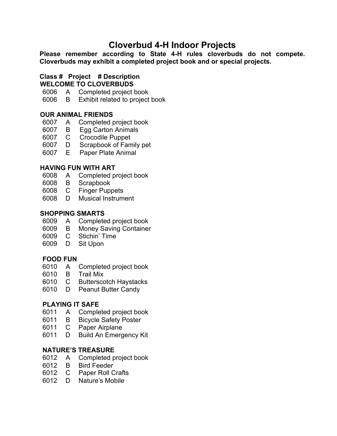# **Cloverbud 4-H Indoor Projects**

**Please remember according to State 4-H rules cloverbuds do not compete. Cloverbuds may exhibit a completed project book and or special projects.**

#### **Class # Project # Description WELCOME TO CLOVERBUDS**

- A Completed project book
- B Exhibit related to project book

### **OUR ANIMAL FRIENDS**

- A Completed project book
- B Egg Carton Animals
- C Crocodile Puppet
- D Scrapbook of Family pet
- E Paper Plate Animal

### **HAVING FUN WITH ART**

- 6008 A Completed project book<br>6008 B Scrapbook
- B Scrapbook
- C Finger Puppets
- D Musical Instrument

### **SHOPPING SMARTS**

- A Completed project book
- B Money Saving Container
- C Stichin' Time
- D Sit Upon

### **FOOD FUN**

- A Completed project book
- B Trail Mix
- C Butterscotch Haystacks
- D Peanut Butter Candy

### **PLAYING IT SAFE**

- A Completed project book
- B Bicycle Safety Poster
- C Paper Airplane
- D Build An Emergency Kit

### **NATURE'S TREASURE**

- A Completed project book
- B Bird Feeder
- C Paper Roll Crafts
- D Nature's Mobile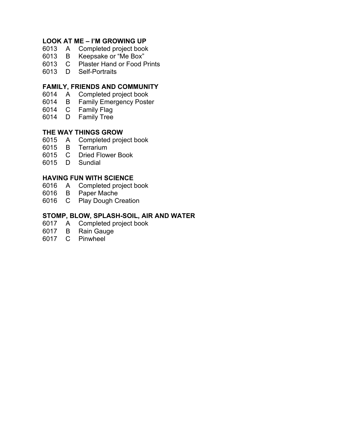#### **LOOK AT ME – I'M GROWING UP**

- A Completed project book
- B Keepsake or "Me Box"
- C Plaster Hand or Food Prints
- D Self-Portraits

#### **FAMILY, FRIENDS AND COMMUNITY**

- A Completed project book
- B Family Emergency Poster
- C Family Flag
- D Family Tree

#### **THE WAY THINGS GROW**

- A Completed project book
- B Terrarium
- C Dried Flower Book
- D Sundial

#### **HAVING FUN WITH SCIENCE**

- A Completed project book
- B Paper Mache
- C Play Dough Creation

#### **STOMP, BLOW, SPLASH-SOIL, AIR AND WATER**

- A Completed project book
- B Rain Gauge
- C Pinwheel